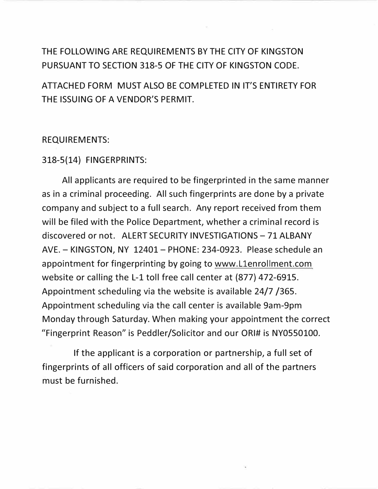## THE FOLLOWING ARE REQUIREMENTS BY THE CITY OF KINGSTON PURSUANT TO SECTION 318-5 OF THE CITY OF KINGSTON CODE.

ATIACHED FORM MUST ALSO BE COMPLETED IN IT'S ENTIRETY FOR THE ISSUING OF A VENDOR'S PERMIT.

#### REQUIREMENTS:

#### 318-5(14) FINGERPRINTS:

All applicants are required to be fingerprinted in the same manner as in a criminal proceeding. All such fingerprints are done by a private company and subject to a full search. Any report received from them will be filed with the Police Department, whether a criminal record is discovered or not. ALERT SECURITY INVESTIGATIONS- 71 ALBANY AVE. - KINGSTON, NY 12401- PHONE: 234-0923. Please schedule an appointment for fingerprinting by going to www.L1enrollment.com website or calling the L-1 toll free call center at (877) 472-6915. Appointment scheduling via the website is available 24/7 /365. Appointment scheduling via the call center is available 9am-9pm Monday through Saturday. When making your appointment the correct "Fingerprint Reason" is Peddler/Solicitor and our ORI# is NY0550100.

If the applicant is a corporation or partnership, a full set of fingerprints of all officers of said corporation and all of the partners must be furnished.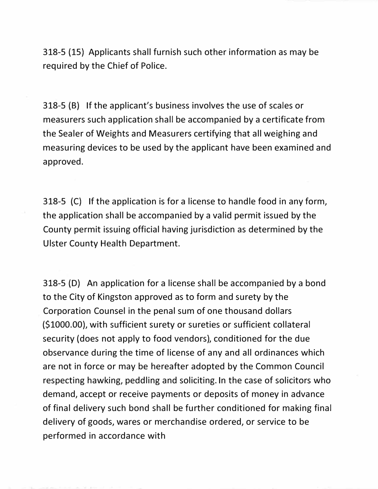318-5 (15} Applicants shall furnish such other information as may be required by the Chief of Police.

318-5 (B) If the applicant's business involves the use of scales or measurers such application shall be accompanied by a certificate from the Sealer of Weights and Measurers certifying that all weighing and measuring devices to be used by the applicant have been examined and approved.

318-5 (C} If the application is for a license to handle food in any form, the application shall be accompanied by a valid permit issued by the County permit issuing official having jurisdiction as determined by the Ulster County Health Department.

318-5 (D} An application for a license shall be accompanied by a bond to the City of Kingston approved as to form and surety by the Corporation Counsel in the penal sum of one thousand dollars (\$1000.00}, with sufficient surety or sureties or sufficient collateral security (does not apply to food vendors), conditioned for the due observance during the time of license of any and all ordinances which are not in force or may be hereafter adopted by the Common Council respecting hawking, peddling and soliciting. In the case of solicitors who demand, accept or receive payments or deposits of money in advance of final delivery such bond shall be further conditioned for making final delivery of goods, wares or merchandise ordered, or service to be performed in accordance with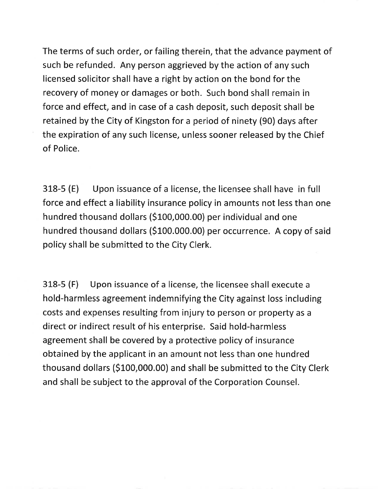The terms of such order, or failing therein, that the advance payment of such be refunded. Any person aggrieved by the action of any such licensed solicitor shall have a right by action on the bond for the recovery of money or damages or both. Such bond shall remain in force and effect, and in case of a cash deposit, such deposit shall be retained by the City of Kingston for a period of ninety (90) days after the expiration of any such license, unless sooner released by the Chief of Police.

Upon issuance of a license, the licensee shall have in full  $318-5(E)$ force and effect a liability insurance policy in amounts not less than one hundred thousand dollars (\$100,000.00) per individual and one hundred thousand dollars (\$100.000.00) per occurrence. A copy of said policy shall be submitted to the City Clerk.

Upon issuance of a license, the licensee shall execute a  $318-5$  (F) hold-harmless agreement indemnifying the City against loss including costs and expenses resulting from injury to person or property as a direct or indirect result of his enterprise. Said hold-harmless agreement shall be covered by a protective policy of insurance obtained by the applicant in an amount not less than one hundred thousand dollars (\$100,000.00) and shall be submitted to the City Clerk and shall be subject to the approval of the Corporation Counsel.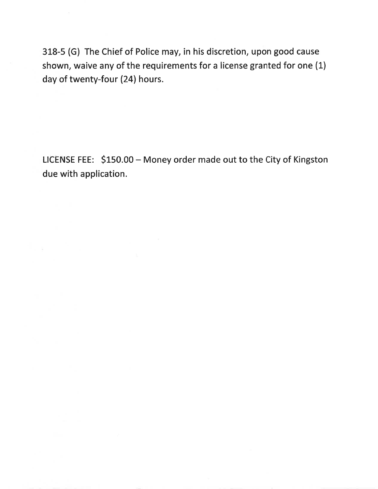318-5 (G) The Chief of Police may, in his discretion, upon good cause shown, waive any of the requirements for a license granted for one (1) day of twenty-four (24) hours.

LICENSE FEE: \$150.00 - Money order made out to the City of Kingston due with application.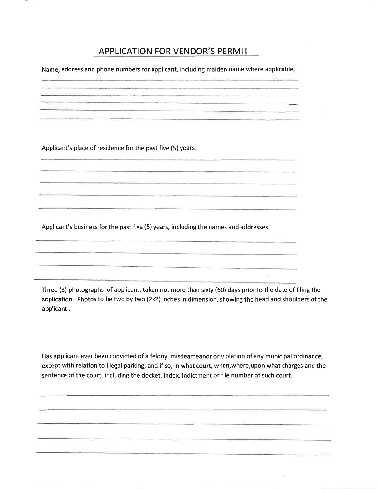### **APPLICATION FOR VENDOR'S PERMIT**

Name, address and phone numbers for applicant, including maiden name where applicable.

and the contract of the contract of the contract of the contract of the contract of the contract of the contract of 

Applicant's place of residence for the past five (5) years.

The contract of the company of the contract of the contract of

Applicant's business for the past five (5) years, including the names and addresses.

Three (3) photographs of applicant, taken not more than sixty (60) days prior to the date of filing the application. Photos to be two by two (2x2) inches in dimension, showing the head and shoulders of the applicant.

 $\mathcal{S}_\mathbf{r}$ 

Has applicant ever been convicted of a felony, misdeameanor or violation of any municipal ordinance, except with relation to illegal parking, and if so, in what court, when, where, upon what charges and the sentence of the court, including the docket, index, indictment or file number of such court.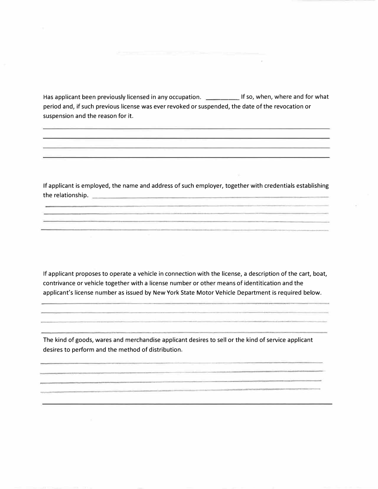Has applicant been previously licensed in any occupation. \_\_\_\_\_\_\_\_\_\_\_\_ If so, when, where and for what period and, if such previous license was ever revoked or suspended, the date of the revocation or suspension and the reason for *it.*

If applicant is employed, the name and address of such employer, together with credentials establishing the relationship.

If applicant proposes to operate a vehicle in connection with the license, a description of the cart, boat, contrivance or vehicle together with a license number or other means of identitication and the applicant's license number as issued by New York State Motor Vehicle Department *is* required below.

The kind of goods, wares and merchandise applicant desires to sell or the kind of service applicant desires to perform and the method of distribution.

a formal component of the property of the form of the control of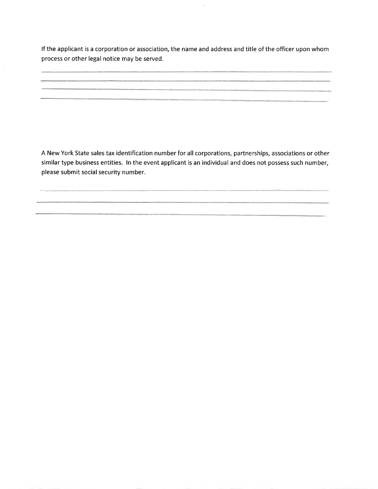If the applicant is a corporation or association, the name and address and title of the officer upon whom process or other legal notice may be served.

and the property of the company of the company of the

A New York State sales tax identification number for all corporations, partnerships, associations or other similar type business entities. In the event applicant is an individual and does not possess such number, please submit social security number.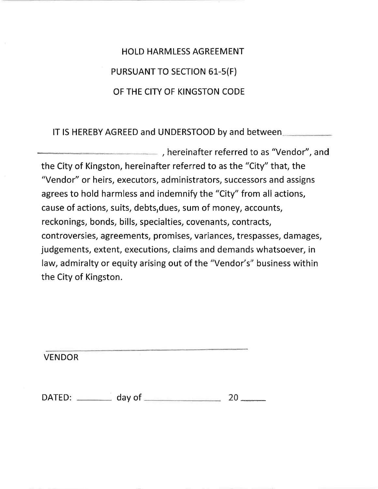**HOLD HARMLESS AGREEMENT** PURSUANT TO SECTION 61-5(F) OF THE CITY OF KINGSTON CODE

IT IS HEREBY AGREED and UNDERSTOOD by and between

, hereinafter referred to as "Vendor", and the City of Kingston, hereinafter referred to as the "City" that, the "Vendor" or heirs, executors, administrators, successors and assigns agrees to hold harmless and indemnify the "City" from all actions, cause of actions, suits, debts, dues, sum of money, accounts, reckonings, bonds, bills, specialties, covenants, contracts, controversies, agreements, promises, variances, trespasses, damages, judgements, extent, executions, claims and demands whatsoever, in law, admiralty or equity arising out of the "Vendor's" business within the City of Kingston.

**VENDOR** 

DATED: day of 20